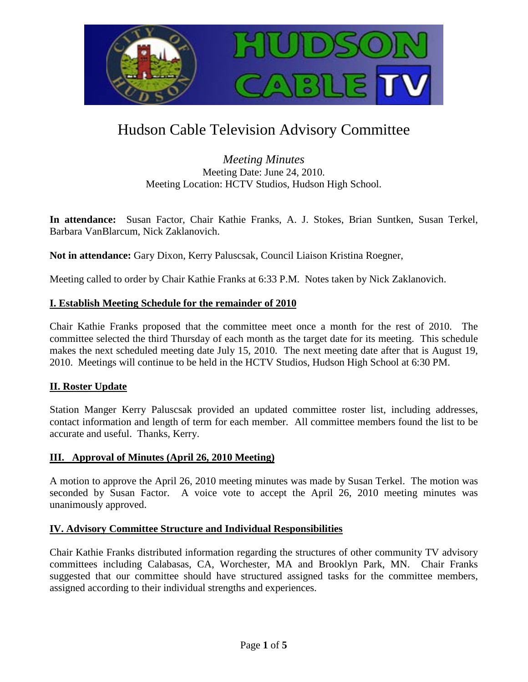

# Hudson Cable Television Advisory Committee

*Meeting Minutes* Meeting Date: June 24, 2010. Meeting Location: HCTV Studios, Hudson High School.

**In attendance:** Susan Factor, Chair Kathie Franks, A. J. Stokes, Brian Suntken, Susan Terkel, Barbara VanBlarcum, Nick Zaklanovich.

**Not in attendance:** Gary Dixon, Kerry Paluscsak, Council Liaison Kristina Roegner,

Meeting called to order by Chair Kathie Franks at 6:33 P.M. Notes taken by Nick Zaklanovich.

## **I. Establish Meeting Schedule for the remainder of 2010**

Chair Kathie Franks proposed that the committee meet once a month for the rest of 2010. The committee selected the third Thursday of each month as the target date for its meeting. This schedule makes the next scheduled meeting date July 15, 2010. The next meeting date after that is August 19, 2010. Meetings will continue to be held in the HCTV Studios, Hudson High School at 6:30 PM.

## **II. Roster Update**

Station Manger Kerry Paluscsak provided an updated committee roster list, including addresses, contact information and length of term for each member. All committee members found the list to be accurate and useful. Thanks, Kerry.

## **III. Approval of Minutes (April 26, 2010 Meeting)**

A motion to approve the April 26, 2010 meeting minutes was made by Susan Terkel. The motion was seconded by Susan Factor. A voice vote to accept the April 26, 2010 meeting minutes was unanimously approved.

## **IV. Advisory Committee Structure and Individual Responsibilities**

Chair Kathie Franks distributed information regarding the structures of other community TV advisory committees including Calabasas, CA, Worchester, MA and Brooklyn Park, MN. Chair Franks suggested that our committee should have structured assigned tasks for the committee members, assigned according to their individual strengths and experiences.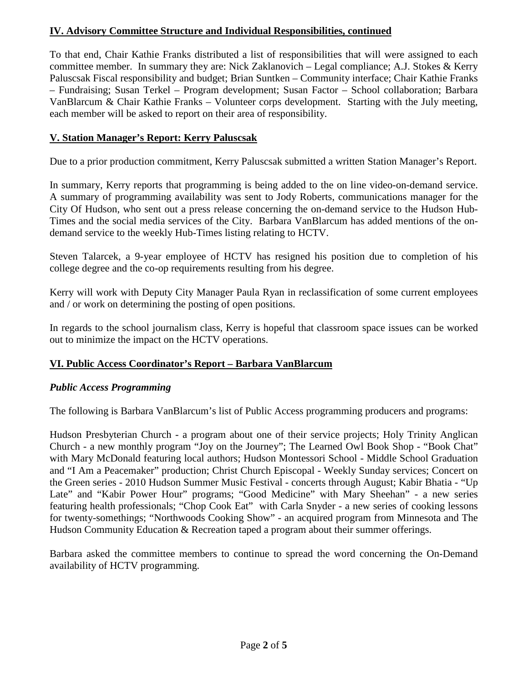# **IV. Advisory Committee Structure and Individual Responsibilities, continued**

To that end, Chair Kathie Franks distributed a list of responsibilities that will were assigned to each committee member. In summary they are: Nick Zaklanovich – Legal compliance; A.J. Stokes & Kerry Paluscsak Fiscal responsibility and budget; Brian Suntken – Community interface; Chair Kathie Franks – Fundraising; Susan Terkel – Program development; Susan Factor – School collaboration; Barbara VanBlarcum & Chair Kathie Franks – Volunteer corps development. Starting with the July meeting, each member will be asked to report on their area of responsibility.

## **V. Station Manager's Report: Kerry Paluscsak**

Due to a prior production commitment, Kerry Paluscsak submitted a written Station Manager's Report.

In summary, Kerry reports that programming is being added to the on line video-on-demand service. A summary of programming availability was sent to Jody Roberts, communications manager for the City Of Hudson, who sent out a press release concerning the on-demand service to the Hudson Hub-Times and the social media services of the City. Barbara VanBlarcum has added mentions of the ondemand service to the weekly Hub-Times listing relating to HCTV.

Steven Talarcek, a 9-year employee of HCTV has resigned his position due to completion of his college degree and the co-op requirements resulting from his degree.

Kerry will work with Deputy City Manager Paula Ryan in reclassification of some current employees and / or work on determining the posting of open positions.

In regards to the school journalism class, Kerry is hopeful that classroom space issues can be worked out to minimize the impact on the HCTV operations.

## **VI. Public Access Coordinator's Report – Barbara VanBlarcum**

## *Public Access Programming*

The following is Barbara VanBlarcum's list of Public Access programming producers and programs:

Hudson Presbyterian Church - a program about one of their service projects; Holy Trinity Anglican Church - a new monthly program "Joy on the Journey"; The Learned Owl Book Shop - "Book Chat" with Mary McDonald featuring local authors; Hudson Montessori School - Middle School Graduation and "I Am a Peacemaker" production; Christ Church Episcopal - Weekly Sunday services; Concert on the Green series - 2010 Hudson Summer Music Festival - concerts through August; Kabir Bhatia - "Up Late" and "Kabir Power Hour" programs; "Good Medicine" with Mary Sheehan" - a new series featuring health professionals; "Chop Cook Eat" with Carla Snyder - a new series of cooking lessons for twenty-somethings; "Northwoods Cooking Show" - an acquired program from Minnesota and The Hudson Community Education & Recreation taped a program about their summer offerings.

Barbara asked the committee members to continue to spread the word concerning the On-Demand availability of HCTV programming.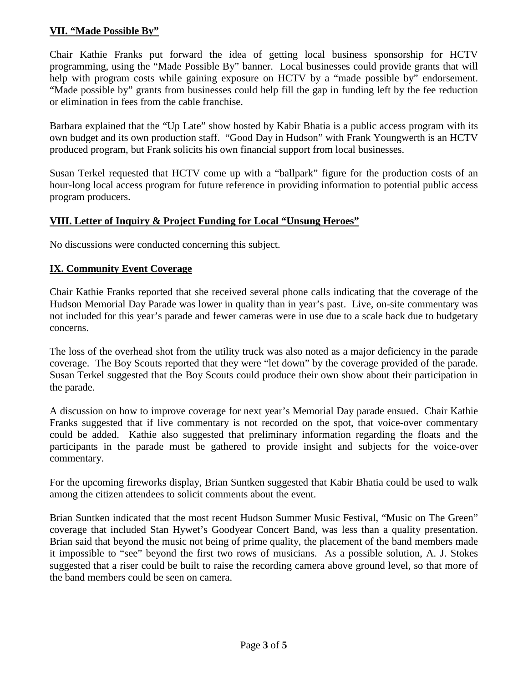# **VII. "Made Possible By"**

Chair Kathie Franks put forward the idea of getting local business sponsorship for HCTV programming, using the "Made Possible By" banner. Local businesses could provide grants that will help with program costs while gaining exposure on HCTV by a "made possible by" endorsement. "Made possible by" grants from businesses could help fill the gap in funding left by the fee reduction or elimination in fees from the cable franchise.

Barbara explained that the "Up Late" show hosted by Kabir Bhatia is a public access program with its own budget and its own production staff. "Good Day in Hudson" with Frank Youngwerth is an HCTV produced program, but Frank solicits his own financial support from local businesses.

Susan Terkel requested that HCTV come up with a "ballpark" figure for the production costs of an hour-long local access program for future reference in providing information to potential public access program producers.

## **VIII. Letter of Inquiry & Project Funding for Local "Unsung Heroes"**

No discussions were conducted concerning this subject.

## **IX. Community Event Coverage**

Chair Kathie Franks reported that she received several phone calls indicating that the coverage of the Hudson Memorial Day Parade was lower in quality than in year's past. Live, on-site commentary was not included for this year's parade and fewer cameras were in use due to a scale back due to budgetary concerns.

The loss of the overhead shot from the utility truck was also noted as a major deficiency in the parade coverage. The Boy Scouts reported that they were "let down" by the coverage provided of the parade. Susan Terkel suggested that the Boy Scouts could produce their own show about their participation in the parade.

A discussion on how to improve coverage for next year's Memorial Day parade ensued. Chair Kathie Franks suggested that if live commentary is not recorded on the spot, that voice-over commentary could be added. Kathie also suggested that preliminary information regarding the floats and the participants in the parade must be gathered to provide insight and subjects for the voice-over commentary.

For the upcoming fireworks display, Brian Suntken suggested that Kabir Bhatia could be used to walk among the citizen attendees to solicit comments about the event.

Brian Suntken indicated that the most recent Hudson Summer Music Festival, "Music on The Green" coverage that included Stan Hywet's Goodyear Concert Band, was less than a quality presentation. Brian said that beyond the music not being of prime quality, the placement of the band members made it impossible to "see" beyond the first two rows of musicians. As a possible solution, A. J. Stokes suggested that a riser could be built to raise the recording camera above ground level, so that more of the band members could be seen on camera.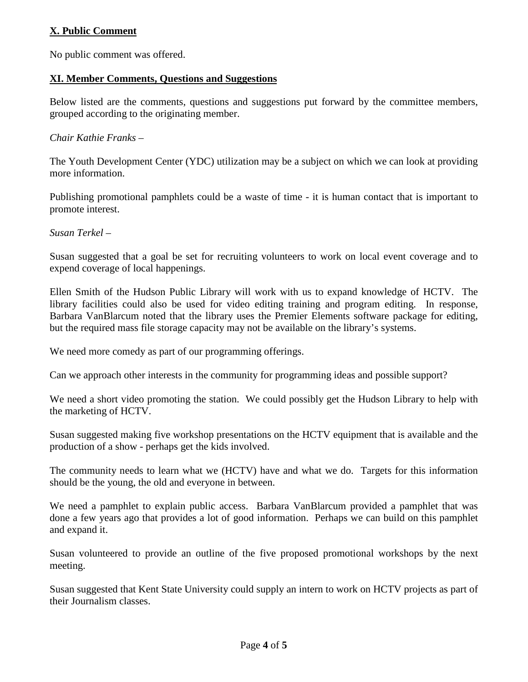# **X. Public Comment**

No public comment was offered.

#### **XI. Member Comments, Questions and Suggestions**

Below listed are the comments, questions and suggestions put forward by the committee members, grouped according to the originating member.

#### *Chair Kathie Franks –*

The Youth Development Center (YDC) utilization may be a subject on which we can look at providing more information.

Publishing promotional pamphlets could be a waste of time - it is human contact that is important to promote interest.

*Susan Terkel –*

Susan suggested that a goal be set for recruiting volunteers to work on local event coverage and to expend coverage of local happenings.

Ellen Smith of the Hudson Public Library will work with us to expand knowledge of HCTV. The library facilities could also be used for video editing training and program editing. In response, Barbara VanBlarcum noted that the library uses the Premier Elements software package for editing, but the required mass file storage capacity may not be available on the library's systems.

We need more comedy as part of our programming offerings.

Can we approach other interests in the community for programming ideas and possible support?

We need a short video promoting the station. We could possibly get the Hudson Library to help with the marketing of HCTV.

Susan suggested making five workshop presentations on the HCTV equipment that is available and the production of a show - perhaps get the kids involved.

The community needs to learn what we (HCTV) have and what we do. Targets for this information should be the young, the old and everyone in between.

We need a pamphlet to explain public access. Barbara VanBlarcum provided a pamphlet that was done a few years ago that provides a lot of good information. Perhaps we can build on this pamphlet and expand it.

Susan volunteered to provide an outline of the five proposed promotional workshops by the next meeting.

Susan suggested that Kent State University could supply an intern to work on HCTV projects as part of their Journalism classes.